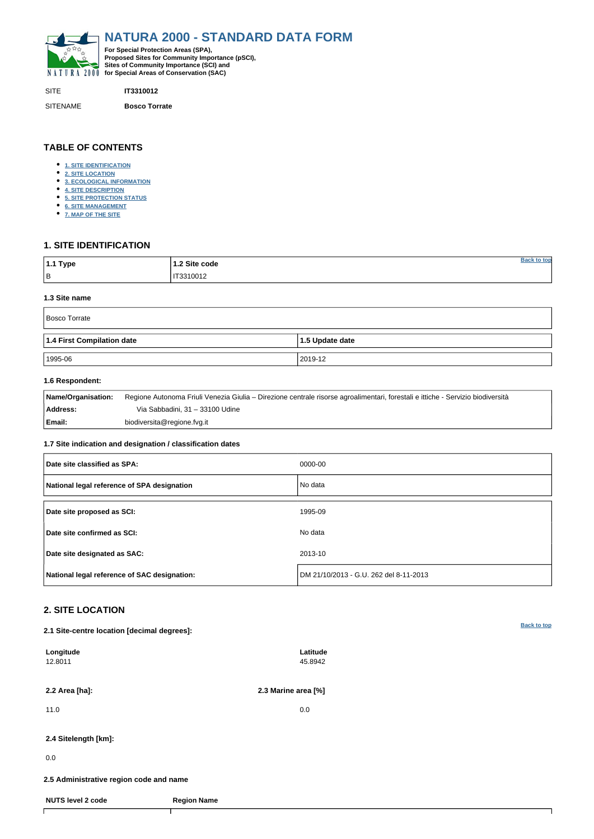<span id="page-0-0"></span>

SITE **IT3310012**

SITENAME **Bosco Torrate**

| <sup>∣</sup> 1.1 Type | 1.2 Site code     | ton |
|-----------------------|-------------------|-----|
| $\vert$ B             | IT3310012<br>____ |     |

# **TABLE OF CONTENTS**

- **[1. SITE IDENTIFICATION](#page-0-1)**
- **[2. SITE LOCATION](#page-0-2)**
- **[3. ECOLOGICAL INFORMATION](#page-1-0)**
- **[4. SITE DESCRIPTION](#page-2-0)**
- **[5. SITE PROTECTION STATUS](#page-3-0)**
- **[6. SITE MANAGEMENT](#page-3-1)**
- **[7. MAP OF THE SITE](#page-3-2)**

# <span id="page-0-1"></span>**1. SITE IDENTIFICATION**

## **1.3 Site name**

| Bosco Torrate              |                   |  |  |  |  |
|----------------------------|-------------------|--|--|--|--|
| 1.4 First Compilation date | $1.5$ Update date |  |  |  |  |
| 1995-06                    | 2019-12           |  |  |  |  |

## **1.6 Respondent:**

| Name/Organisation: | Regione Autonoma Friuli Venezia Giulia – Direzione centrale risorse agroalimentari, forestali e ittiche - Servizio biodiversità |
|--------------------|---------------------------------------------------------------------------------------------------------------------------------|
| Address:           | Via Sabbadini, 31 – 33100 Udine                                                                                                 |
| Email:             | biodiversita@regione.fvg.it                                                                                                     |

## **1.7 Site indication and designation / classification dates**

| Date site classified as SPA:                 | 0000-00                                |
|----------------------------------------------|----------------------------------------|
| National legal reference of SPA designation  | No data                                |
| Date site proposed as SCI:                   | 1995-09                                |
| Date site confirmed as SCI:                  | No data                                |
| Date site designated as SAC:                 | 2013-10                                |
| National legal reference of SAC designation: | DM 21/10/2013 - G.U. 262 del 8-11-2013 |

# <span id="page-0-2"></span>**2. SITE LOCATION**

**2.1 Site-centre location [decimal degrees]:**

| Longitude<br>12.8011                    | Latitude<br>45.8942 |  |
|-----------------------------------------|---------------------|--|
| 2.2 Area [ha]:                          | 2.3 Marine area [%] |  |
| 11.0                                    | 0.0                 |  |
| 2.4 Sitelength [km]:                    |                     |  |
| 0.0                                     |                     |  |
| 2.5 Administrative region code and name |                     |  |
| <b>NUTS level 2 code</b>                | <b>Region Name</b>  |  |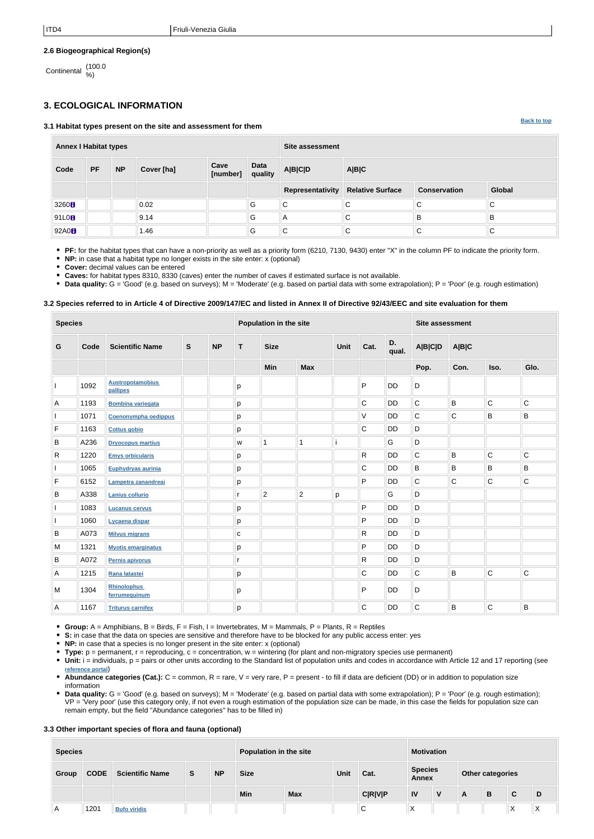**[Back to top](#page-0-0)**

## **2.6 Biogeographical Region(s)**

Continental (100.0 %)

# <span id="page-1-0"></span>**3. ECOLOGICAL INFORMATION**

**3.1 Habitat types present on the site and assessment for them**

**Annex I Habitat types Site assessment Code PF NP Cover [ha] Cave [number] Data quality A|B|C|D A|B|C Representativity Relative Surface Conservation Global** 3260 0.02 G C C C C C C 91L0B || || ||9.14 || ||G ||A ||C ||B ||B ||B 92A0 1.46 G C C C C

**PF:** for the habitat types that can have a non-priority as well as a priority form (6210, 7130, 9430) enter "X" in the column PF to indicate the priority form.

**NP:** in case that a habitat type no longer exists in the site enter: x (optional)

**Cover:** decimal values can be entered

**Caves:** for habitat types 8310, 8330 (caves) enter the number of caves if estimated surface is not available.

**Data quality:** G = 'Good' (e.g. based on surveys); M = 'Moderate' (e.g. based on partial data with some extrapolation); P = 'Poor' (e.g. rough estimation)

## **3.2 Species referred to in Article 4 of Directive 2009/147/EC and listed in Annex II of Directive 92/43/EEC and site evaluation for them**

| <b>Species</b> |      |                                     | Population in the site |           |             |                | <b>Site assessment</b> |   |   |           |             |         |              |                         |  |  |  |  |
|----------------|------|-------------------------------------|------------------------|-----------|-------------|----------------|------------------------|---|---|-----------|-------------|---------|--------------|-------------------------|--|--|--|--|
| G              | Code | <b>Scientific Name</b>              | $\mathbf s$            | <b>NP</b> | $\mathbf T$ | <b>Size</b>    |                        |   |   | Unit      |             | Cat.    | D.<br>qual.  | <b>A B C D</b><br>A B C |  |  |  |  |
|                |      |                                     |                        |           |             | <b>Min</b>     | <b>Max</b>             |   |   |           | Pop.        | Con.    | Iso.         | Glo.                    |  |  |  |  |
|                | 1092 | <b>Austropotamobius</b><br>pallipes |                        |           | p           |                |                        |   | P | <b>DD</b> | D           |         |              |                         |  |  |  |  |
| Α              | 1193 | <b>Bombina variegata</b>            |                        |           | p           |                |                        |   | C | <b>DD</b> | $\mathsf C$ | $\sf B$ | $\mathsf C$  | $\overline{C}$          |  |  |  |  |
|                | 1071 | Coenonympha oedippus                |                        |           | р           |                |                        |   | V | DD        | $\mathsf C$ | C       | B            | $\sf B$                 |  |  |  |  |
| $\mathsf F$    | 1163 | <b>Cottus gobio</b>                 |                        |           | p           |                |                        |   | C | <b>DD</b> | $\mathsf D$ |         |              |                         |  |  |  |  |
| B              | A236 | <b>Dryocopus martius</b>            |                        |           | W           | 1              | 1                      |   |   | G         | D           |         |              |                         |  |  |  |  |
| R              | 1220 | <b>Emys orbicularis</b>             |                        |           | р           |                |                        |   | R | DD        | $\mathbf C$ | $\sf B$ | $\mathsf{C}$ | $\mathsf C$             |  |  |  |  |
|                | 1065 | Euphydryas aurinia                  |                        |           | p           |                |                        |   | C | <b>DD</b> | B           | B       | B            | B                       |  |  |  |  |
| $\mathsf F$    | 6152 | Lampetra zanandreai                 |                        |           | p           |                |                        |   | P | <b>DD</b> | C           | C       | $\mathsf C$  | C                       |  |  |  |  |
| B              | A338 | <b>Lanius collurio</b>              |                        |           | r           | $\overline{2}$ | $\overline{2}$         | p |   | G         | D           |         |              |                         |  |  |  |  |
|                | 1083 | <b>Lucanus cervus</b>               |                        |           | p           |                |                        |   | P | <b>DD</b> | D           |         |              |                         |  |  |  |  |
|                | 1060 | Lycaena dispar                      |                        |           | р           |                |                        |   | P | DD        | D           |         |              |                         |  |  |  |  |
| $\sf B$        | A073 | <b>Milvus migrans</b>               |                        |           | ${\bf c}$   |                |                        |   | R | <b>DD</b> | $\mathsf D$ |         |              |                         |  |  |  |  |
| M              | 1321 | <b>Myotis emarginatus</b>           |                        |           | р           |                |                        |   | P | <b>DD</b> | $\mathsf D$ |         |              |                         |  |  |  |  |
| B              | A072 | Pernis apivorus                     |                        |           | r           |                |                        |   | R | <b>DD</b> | $\mathsf D$ |         |              |                         |  |  |  |  |
| Α              | 1215 | Rana latastei                       |                        |           | p           |                |                        |   | C | <b>DD</b> | C           | B       | $\mathsf{C}$ | $\mathsf C$             |  |  |  |  |
| M              | 1304 | <b>Rhinolophus</b><br>ferrumequinum |                        |           | p           |                |                        |   | P | <b>DD</b> | D           |         |              |                         |  |  |  |  |
| Α              | 1167 | <b>Triturus carnifex</b>            |                        |           | p           |                |                        |   | C | <b>DD</b> | $\mathsf C$ | B       | $\mathsf C$  | $\sf B$                 |  |  |  |  |

**Group:** A = Amphibians, B = Birds, F = Fish, I = Invertebrates, M = Mammals, P = Plants, R = Reptiles

- **S:** in case that the data on species are sensitive and therefore have to be blocked for any public access enter: yes
- **NP:** in case that a species is no longer present in the site enter: x (optional)
- **Type:** p = permanent, r = reproducing, c = concentration, w = wintering (for plant and non-migratory species use permanent)
- Unit: i = individuals, p = pairs or other units according to the Standard list of population units and codes in accordance with Article 12 and 17 reporting (see **[reference portal](http://bd.eionet.europa.eu/activities/Natura_2000/reference_portal)**)
- Abundance categories (Cat.): C = common, R = rare, V = very rare, P = present to fill if data are deficient (DD) or in addition to population size information
- Data quality: G = 'Good' (e.g. based on surveys); M = 'Moderate' (e.g. based on partial data with some extrapolation); P = 'Poor' (e.g. rough estimation); VP = 'Very poor' (use this category only, if not even a rough estimation of the population size can be made, in this case the fields for population size can remain empty, but the field "Abundance categories" has to be filled in)

## **3.3 Other important species of flora and fauna (optional)**

| <b>Species</b> |             |                        |   | Population in the site |             |            |             | <b>Motivation</b> |    |                                |   |                  |   |                 |  |
|----------------|-------------|------------------------|---|------------------------|-------------|------------|-------------|-------------------|----|--------------------------------|---|------------------|---|-----------------|--|
| Group          | <b>CODE</b> | <b>Scientific Name</b> | S | <b>NP</b>              | <b>Size</b> |            | <b>Unit</b> | Cat.              |    | <b>Species</b><br><b>Annex</b> |   | Other categories |   |                 |  |
|                |             |                        |   |                        | <b>Min</b>  | <b>Max</b> |             | <b>C R V P</b>    | IV | v                              | A | B                | C | D               |  |
| A              | 1201        | <b>Bufo viridis</b>    |   |                        |             |            |             | ⌒<br>◡            | ⋏  |                                |   |                  | ᄉ | ۰.<br>$\lambda$ |  |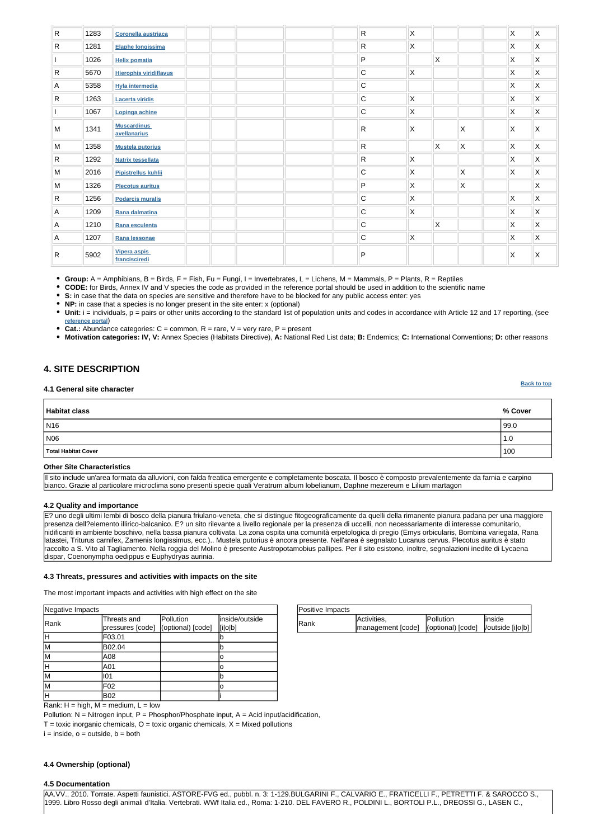| Positive Impacts |                                                           |                  |         |
|------------------|-----------------------------------------------------------|------------------|---------|
| <b>IRank</b>     | Activities,                                               | <b>Pollution</b> | linside |
|                  | management [code]   (optional) [code]   / outside [i o b] |                  |         |

Rank:  $H = high$ ,  $M = medium$ ,  $L = low$ 

Pollution:  $N = N$ itrogen input, P = Phosphor/Phosphate input, A = Acid input/acidification,

 $T =$  toxic inorganic chemicals,  $O =$  toxic organic chemicals,  $X =$  Mixed pollutions

 $i = inside, o = outside, b = both$ 

| Negative Impacts |                                                   |           |                           |
|------------------|---------------------------------------------------|-----------|---------------------------|
| Rank             | Threats and<br>pressures [code] (optional) [code] | Pollution | inside/outside<br>[i o b] |
| н                | F03.01                                            |           |                           |
| M                | B02.04                                            |           |                           |
| lм               | A08                                               |           |                           |
| Η                | A01                                               |           |                           |
| lМ               | 101                                               |           |                           |
| lМ               | F02                                               |           | ΙO                        |
| H                | <b>B02</b>                                        |           |                           |

**[Back to top](#page-0-0)**

| $\mathsf{R}$ | 1283 | <b>Coronella austriaca</b>         | $\mathsf{R}$ | $\mathsf{X}$ |              |                         | $\mathsf X$  | $\mathsf X$               |
|--------------|------|------------------------------------|--------------|--------------|--------------|-------------------------|--------------|---------------------------|
| $\mathsf{R}$ | 1281 | Elaphe longissima                  | $\mathsf{R}$ | $\mathsf X$  |              |                         | X            | $\mathsf{X}$              |
|              | 1026 | <b>Helix pomatia</b>               | P            |              | $\mathsf{X}$ |                         | X            | $\mathsf X$               |
| $\mathsf{R}$ | 5670 | <b>Hierophis viridiflavus</b>      | $\mathbf C$  | $\mathsf{X}$ |              |                         | X            | $\mathsf{X}$              |
| Α            | 5358 | <b>Hyla intermedia</b>             | $\mathbf C$  |              |              |                         | X            | $\pmb{\times}$            |
| $\mathsf{R}$ | 1263 | <b>Lacerta viridis</b>             | $\mathbf C$  | $\mathsf{X}$ |              |                         | X            | $\boldsymbol{\mathsf{X}}$ |
|              | 1067 | Lopinga achine                     | $\mathbf C$  | $\mathsf{X}$ |              |                         | X            | $\pmb{\times}$            |
| M            | 1341 | <b>Muscardinus</b><br>avellanarius | R            | X            |              | X                       | X            | X                         |
| M            | 1358 | <b>Mustela putorius</b>            | $\mathsf{R}$ |              | $\mathsf{X}$ | $\mathsf{\overline{X}}$ | $\mathsf{X}$ | $\mathsf X$               |
| $\mathsf{R}$ | 1292 | <b>Natrix tessellata</b>           | $\mathsf{R}$ | $\mathsf{X}$ |              |                         | X            | $\mathsf{X}$              |
| M            | 2016 | Pipistrellus kuhlii                | C            | $\mathsf{X}$ |              | X                       | X            | $\boldsymbol{\mathsf{X}}$ |
| M            | 1326 | <b>Plecotus auritus</b>            | P            | $\mathsf{X}$ |              | $\pmb{\times}$          |              | $\boldsymbol{\mathsf{X}}$ |
| $\mathsf{R}$ | 1256 | <b>Podarcis muralis</b>            | $\mathbf C$  | $\mathsf{X}$ |              |                         | $\mathsf{X}$ | $\mathsf{X}$              |
| Α            | 1209 | Rana dalmatina                     | $\mathbf C$  | $\mathsf{X}$ |              |                         | X            | $\boldsymbol{\mathsf{X}}$ |
| Α            | 1210 | Rana esculenta                     | $\mathbf C$  |              | $\mathsf{X}$ |                         | X            | $\boldsymbol{\mathsf{X}}$ |
| Α            | 1207 | Rana lessonae                      | $\mathbf C$  | $\mathsf{X}$ |              |                         | $\mathsf{X}$ | $\boldsymbol{\mathsf{X}}$ |
| R            | 5902 | Vipera aspis<br>francisciredi      | P            |              |              |                         | $\mathsf X$  | Χ                         |

• Unit: i = individuals, p = pairs or other units according to the standard list of population units and codes in accordance with Article 12 and 17 reporting, (see **[reference portal](http://bd.eionet.europa.eu/activities/Natura_2000/reference_portal)**)

• Cat.: Abundance categories:  $C =$  common,  $R =$  rare,  $V =$  very rare,  $P =$  present

**Group:** A = Amphibians, B = Birds, F = Fish, Fu = Fungi, I = Invertebrates, L = Lichens, M = Mammals, P = Plants, R = Reptiles

**CODE:** for Birds, Annex IV and V species the code as provided in the reference portal should be used in addition to the scientific name

**S:** in case that the data on species are sensitive and therefore have to be blocked for any public access enter: yes

**NP:** in case that a species is no longer present in the site enter: x (optional)

**Motivation categories: IV, V:** Annex Species (Habitats Directive), **A:** National Red List data; **B:** Endemics; **C:** International Conventions; **D:** other reasons

# <span id="page-2-0"></span>**4. SITE DESCRIPTION**

#### **4.1 General site character**

| Habitat class           | % Cover |
|-------------------------|---------|
| $\vert$ N <sub>16</sub> | 99.0    |
| N06                     | 1.0     |
| Total Habitat Cover     | 100     |

#### **Other Site Characteristics**

Il sito include un'area formata da alluvioni, con falda freatica emergente e completamente boscata. Il bosco è composto prevalentemente da farnia e carpino bianco. Grazie al particolare microclima sono presenti specie quali Veratrum album lobelianum, Daphne mezereum e Lilium martagon

#### **4.2 Quality and importance**

E? uno degli ultimi lembi di bosco della pianura friulano-veneta, che si distingue fitogeograficamente da quelli della rimanente pianura padana per una maggiore presenza dell?elemento illirico-balcanico. E? un sito rilevante a livello regionale per la presenza di uccelli, non necessariamente di interesse comunitario, nidificanti in ambiente boschivo, nella bassa pianura coltivata. La zona ospita una comunità erpetologica di pregio (Emys orbicularis, Bombina variegata, Rana latastei, Triturus carnifex, Zamenis longissimus, ecc.).. Mustela putorius è ancora presente. Nell'area è segnalato Lucanus cervus. Plecotus auritus è stato raccolto a S. Vito al Tagliamento. Nella roggia del Molino è presente Austropotamobius pallipes. Per il sito esistono, inoltre, segnalazioni inedite di Lycaena dispar, Coenonympha oedippus e Euphydryas aurinia.

#### **4.3 Threats, pressures and activities with impacts on the site**

The most important impacts and activities with high effect on the site

### **4.4 Ownership (optional)**

### **4.5 Documentation**

AA.VV., 2010. Torrate. Aspetti faunistici. ASTORE-FVG ed., pubbl. n. 3: 1-129.BULGARINI F., CALVARIO E., FRATICELLI F., PETRETTI F. & SAROCCO S., 1999. Libro Rosso degli animali d'Italia. Vertebrati. WWf Italia ed., Roma: 1-210. DEL FAVERO R., POLDINI L., BORTOLI P.L., DREOSSI G., LASEN C.,